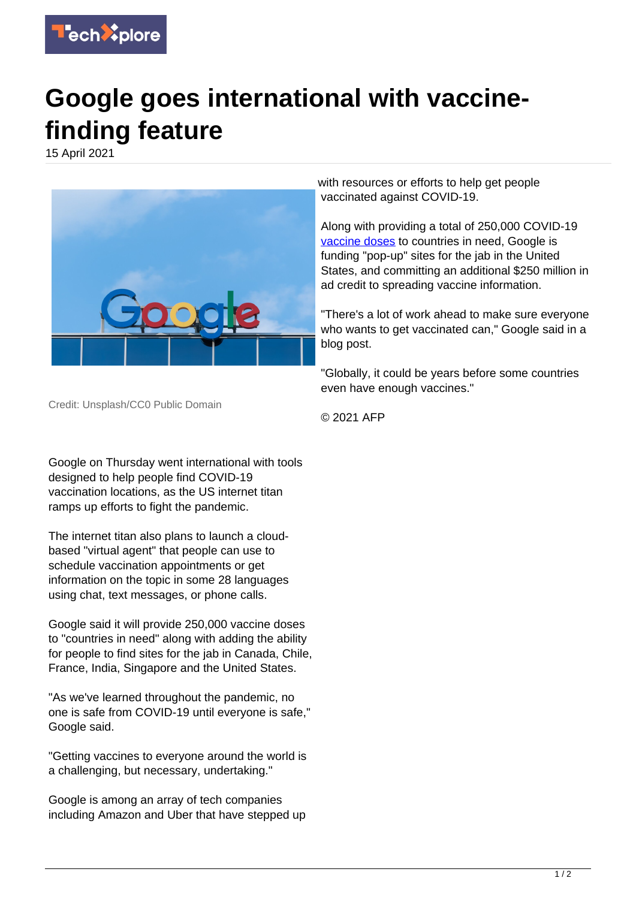

## **Google goes international with vaccinefinding feature**

15 April 2021



Credit: Unsplash/CC0 Public Domain

Google on Thursday went international with tools designed to help people find COVID-19 vaccination locations, as the US internet titan ramps up efforts to fight the pandemic.

The internet titan also plans to launch a cloudbased "virtual agent" that people can use to schedule vaccination appointments or get information on the topic in some 28 languages using chat, text messages, or phone calls.

Google said it will provide 250,000 vaccine doses to "countries in need" along with adding the ability for people to find sites for the jab in Canada, Chile, France, India, Singapore and the United States.

"As we've learned throughout the pandemic, no one is safe from COVID-19 until everyone is safe," Google said.

"Getting vaccines to everyone around the world is a challenging, but necessary, undertaking."

Google is among an array of tech companies including Amazon and Uber that have stepped up with resources or efforts to help get people vaccinated against COVID-19.

Along with providing a total of 250,000 COVID-19 [vaccine doses](https://techxplore.com/tags/vaccine+doses/) to countries in need, Google is funding "pop-up" sites for the jab in the United States, and committing an additional \$250 million in ad credit to spreading vaccine information.

"There's a lot of work ahead to make sure everyone who wants to get vaccinated can," Google said in a blog post.

"Globally, it could be years before some countries even have enough vaccines."

© 2021 AFP